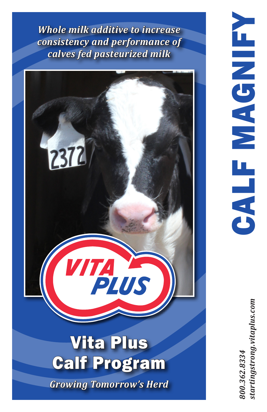*Whole milk additive to increase consistency and performance of calves fed pasteurized milk*



*800.362.8334 startingstrong.vitaplus.com*tartingstrong.vitaplus.com 800.362.8334